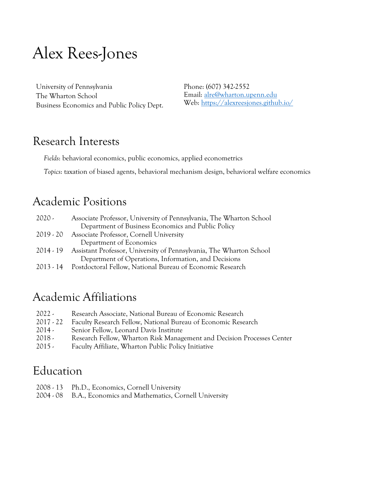# Alex Rees-Jones

University of Pennsylvania The Wharton School Business Economics and Public Policy Dept. Phone: (607) 342-2552 Email: [alre@wharton.upenn.edu](mailto:alre@wharton.upenn.edu) Web:<https://alexreesjones.github.io/>

#### Research Interests

*Fields*: behavioral economics, public economics, applied econometrics

*Topics*: taxation of biased agents, behavioral mechanism design, behavioral welfare economics

#### Academic Positions

| 2020 -    | Associate Professor, University of Pennsylvania, The Wharton School           |
|-----------|-------------------------------------------------------------------------------|
|           | Department of Business Economics and Public Policy                            |
| 2019 - 20 | Associate Professor, Cornell University                                       |
|           | Department of Economics                                                       |
|           | 2014 - 19 Assistant Professor, University of Pennsylvania, The Wharton School |
|           | Department of Operations, Information, and Decisions                          |
|           | 2013 - 14 Postdoctoral Fellow, National Bureau of Economic Research           |

### Academic Affiliations

- 2022 Research Associate, National Bureau of Economic Research 2017 - 22 Faculty Research Fellow, National Bureau of Economic Research 2014 - Senior Fellow, Leonard Davis Institute 2018 - Research Fellow, Wharton Risk Management and Decision Processes Center
- 2015 Faculty Affiliate, Wharton Public Policy Initiative

#### Education

- 2008 13 Ph.D., Economics, Cornell University
- 2004 08 B.A., Economics and Mathematics, Cornell University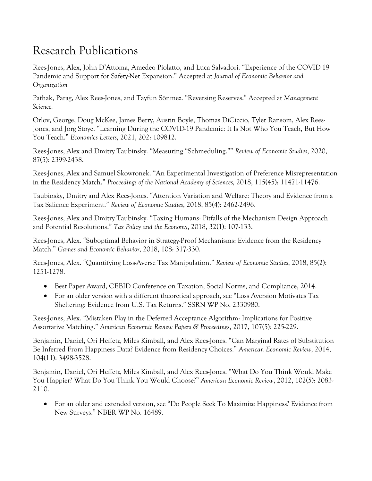# Research Publications

Rees-Jones, Alex, John D'Attoma, Amedeo Piolatto, and Luca Salvadori. "Experience of the COVID-19 Pandemic and Support for Safety-Net Expansion." Accepted at *Journal of Economic Behavior and Organization*

Pathak, Parag, Alex Rees-Jones, and Tayfun Sönmez. "Reversing Reserves." Accepted at *Management Science.*

Orlov, George, Doug McKee, James Berry, Austin Boyle, Thomas DiCiccio, Tyler Ransom, Alex Rees-Jones, and Jörg Stoye. "Learning During the COVID-19 Pandemic: It Is Not Who You Teach, But How You Teach." *Economics Letters,* 2021, 202: 109812.

Rees-Jones, Alex and Dmitry Taubinsky. "Measuring "Schmeduling."" *Review of Economic Studies*, 2020, 87(5): 2399-2438.

Rees-Jones, Alex and Samuel Skowronek. "An Experimental Investigation of Preference Misrepresentation in the Residency Match." *Proceedings of the National Academy of Sciences,* 2018, 115(45): 11471-11476.

Taubinsky, Dmitry and Alex Rees-Jones. "Attention Variation and Welfare: Theory and Evidence from a Tax Salience Experiment." *Review of Economic Studies*, 2018, 85(4): 2462-2496.

Rees-Jones, Alex and Dmitry Taubinsky. "Taxing Humans: Pitfalls of the Mechanism Design Approach and Potential Resolutions." *Tax Policy and the Economy*, 2018, 32(1): 107-133.

Rees-Jones, Alex. "Suboptimal Behavior in Strategy-Proof Mechanisms: Evidence from the Residency Match." *Games and Economic Behavior*, 2018, 108: 317-330.

Rees-Jones, Alex. "Quantifying Loss-Averse Tax Manipulation." *Review of Economic Studies*, 2018, 85(2): 1251-1278.

- Best Paper Award, CEBID Conference on Taxation, Social Norms, and Compliance, 2014.
- For an older version with a different theoretical approach, see "Loss Aversion Motivates Tax Sheltering: Evidence from U.S. Tax Returns." SSRN WP No. 2330980.

Rees-Jones, Alex. "Mistaken Play in the Deferred Acceptance Algorithm: Implications for Positive Assortative Matching." *American Economic Review Papers & Proceedings*, 2017, 107(5): 225-229.

Benjamin, Daniel, Ori Heffetz, Miles Kimball, and Alex Rees-Jones. "Can Marginal Rates of Substitution Be Inferred From Happiness Data? Evidence from Residency Choices." *American Economic Review*, 2014, 104(11): 3498-3528.

Benjamin, Daniel, Ori Heffetz, Miles Kimball, and Alex Rees-Jones. "What Do You Think Would Make You Happier? What Do You Think You Would Choose?" *American Economic Review*, 2012, 102(5): 2083- 2110.

• For an older and extended version, see "Do People Seek To Maximize Happiness? Evidence from New Surveys." NBER WP No. 16489.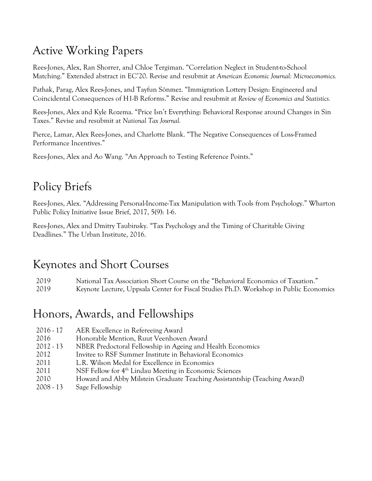# Active Working Papers

Rees-Jones, Alex, Ran Shorrer, and Chloe Tergiman. "Correlation Neglect in Student-to-School Matching." Extended abstract in EC'20. Revise and resubmit at *American Economic Journal: Microeconomics.* 

Pathak, Parag, Alex Rees-Jones, and Tayfun Sönmez. "Immigration Lottery Design: Engineered and Coincidental Consequences of H1-B Reforms." Revise and resubmit at *Review of Economics and Statistics.*

Rees-Jones, Alex and Kyle Rozema. "Price Isn't Everything: Behavioral Response around Changes in Sin Taxes." Revise and resubmit at *National Tax Journal.* 

Pierce, Lamar, Alex Rees-Jones, and Charlotte Blank. "The Negative Consequences of Loss-Framed Performance Incentives."

Rees-Jones, Alex and Ao Wang. "An Approach to Testing Reference Points."

# Policy Briefs

Rees-Jones, Alex. "Addressing Personal-Income-Tax Manipulation with Tools from Psychology." Wharton Public Policy Initiative Issue Brief, 2017, 5(9): 1-6.

Rees-Jones, Alex and Dmitry Taubinsky. "Tax Psychology and the Timing of Charitable Giving Deadlines." The Urban Institute, 2016.

### Keynotes and Short Courses

2019 National Tax Association Short Course on the "Behavioral Economics of Taxation."

2019 Keynote Lecture, Uppsala Center for Fiscal Studies Ph.D. Workshop in Public Economics

# Honors, Awards, and Fellowships

- 2016 17 AER Excellence in Refereeing Award
- 2016 Honorable Mention, Ruut Veenhoven Award
- 2012 13 NBER Predoctoral Fellowship in Ageing and Health Economics
- 2012 Invitee to RSF Summer Institute in Behavioral Economics
- 2011 L.R. Wilson Medal for Excellence in Economics
- 2011 NSF Fellow for 4<sup>th</sup> Lindau Meeting in Economic Sciences
- 2010 Howard and Abby Milstein Graduate Teaching Assistantship (Teaching Award)
- 2008 13 Sage Fellowship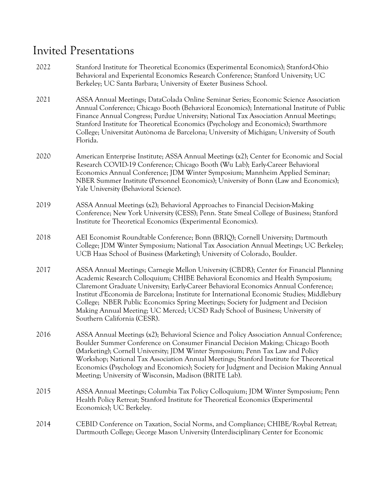# Invited Presentations

| 2022 | Stanford Institute for Theoretical Economics (Experimental Economics); Stanford-Ohio<br>Behavioral and Experiental Economics Research Conference; Stanford University; UC<br>Berkeley; UC Santa Barbara; University of Exeter Business School.                                                                                                                                                                                                                                                                                                                     |
|------|--------------------------------------------------------------------------------------------------------------------------------------------------------------------------------------------------------------------------------------------------------------------------------------------------------------------------------------------------------------------------------------------------------------------------------------------------------------------------------------------------------------------------------------------------------------------|
| 2021 | ASSA Annual Meetings; DataColada Online Seminar Series; Economic Science Association<br>Annual Conference; Chicago Booth (Behavioral Economics); International Institute of Public<br>Finance Annual Congress; Purdue University; National Tax Association Annual Meetings;<br>Stanford Institute for Theoretical Economics (Psychology and Economics); Swarthmore<br>College; Universitat Autònoma de Barcelona; University of Michigan; University of South<br>Florida.                                                                                          |
| 2020 | American Enterprise Institute; ASSA Annual Meetings (x2); Center for Economic and Social<br>Research COVID-19 Conference; Chicago Booth (Wu Lab); Early-Career Behavioral<br>Economics Annual Conference; JDM Winter Symposium; Mannheim Applied Seminar;<br>NBER Summer Institute (Personnel Economics); University of Bonn (Law and Economics);<br>Yale University (Behavioral Science).                                                                                                                                                                         |
| 2019 | ASSA Annual Meetings (x2); Behavioral Approaches to Financial Decision-Making<br>Conference; New York University (CESS); Penn. State Smeal College of Business; Stanford<br>Institute for Theoretical Economics (Experimental Economics).                                                                                                                                                                                                                                                                                                                          |
| 2018 | AEI Economist Roundtable Conference; Bonn (BRIQ); Cornell University; Dartmouth<br>College; JDM Winter Symposium; National Tax Association Annual Meetings; UC Berkeley;<br>UCB Haas School of Business (Marketing); University of Colorado, Boulder.                                                                                                                                                                                                                                                                                                              |
| 2017 | ASSA Annual Meetings; Carnegie Mellon University (CBDR); Center for Financial Planning<br>Academic Research Colloquium; CHIBE Behavioral Economics and Health Symposium;<br>Claremont Graduate University; Early-Career Behavioral Economics Annual Conference;<br>Institut d'Economia de Barcelona; Institute for International Economic Studies; Middlebury<br>College; NBER Public Economics Spring Meetings; Society for Judgment and Decision<br>Making Annual Meeting; UC Merced; UCSD Rady School of Business; University of<br>Southern California (CESR). |
| 2016 | ASSA Annual Meetings (x2); Behavioral Science and Policy Association Annual Conference;<br>Boulder Summer Conference on Consumer Financial Decision Making; Chicago Booth<br>(Marketing); Cornell University; JDM Winter Symposium; Penn Tax Law and Policy<br>Workshop; National Tax Association Annual Meetings; Stanford Institute for Theoretical<br>Economics (Psychology and Economics); Society for Judgment and Decision Making Annual<br>Meeting; University of Wisconsin, Madison (BRITE Lab).                                                           |
| 2015 | ASSA Annual Meetings; Columbia Tax Policy Colloquium; JDM Winter Symposium; Penn<br>Health Policy Retreat; Stanford Institute for Theoretical Economics (Experimental<br>Economics); UC Berkeley.                                                                                                                                                                                                                                                                                                                                                                  |
| 2014 | CEBID Conference on Taxation, Social Norms, and Compliance; CHIBE/Roybal Retreat;<br>Dartmouth College; George Mason University (Interdisciplinary Center for Economic                                                                                                                                                                                                                                                                                                                                                                                             |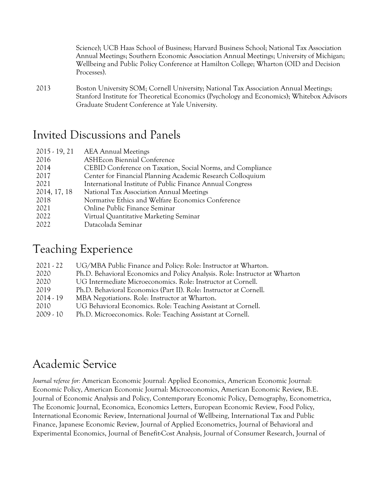Science); UCB Haas School of Business; Harvard Business School; National Tax Association Annual Meetings; Southern Economic Association Annual Meetings; University of Michigan; Wellbeing and Public Policy Conference at Hamilton College; Wharton (OID and Decision Processes).

2013 Boston University SOM; Cornell University; National Tax Association Annual Meetings; Stanford Institute for Theoretical Economics (Psychology and Economics); Whitebox Advisors Graduate Student Conference at Yale University.

#### Invited Discussions and Panels

| <b>AEA Annual Meetings</b>                                 |
|------------------------------------------------------------|
| <b>ASHEcon Biennial Conference</b>                         |
| CEBID Conference on Taxation, Social Norms, and Compliance |
| Center for Financial Planning Academic Research Colloquium |
| International Institute of Public Finance Annual Congress  |
| National Tax Association Annual Meetings                   |
| Normative Ethics and Welfare Economics Conference          |
| Online Public Finance Seminar                              |
| Virtual Quantitative Marketing Seminar                     |
| Datacolada Seminar                                         |
|                                                            |

### Teaching Experience

| $2021 - 22$ | UG/MBA Public Finance and Policy: Role: Instructor at Wharton.              |
|-------------|-----------------------------------------------------------------------------|
| 2020        | Ph.D. Behavioral Economics and Policy Analysis. Role: Instructor at Wharton |
| 2020        | UG Intermediate Microeconomics. Role: Instructor at Cornell.                |
| 2019        | Ph.D. Behavioral Economics (Part II). Role: Instructor at Cornell.          |
| $2014 - 19$ | MBA Negotiations. Role: Instructor at Wharton.                              |
| 2010        | UG Behavioral Economics. Role: Teaching Assistant at Cornell.               |
| 2009 - 10   | Ph.D. Microeconomics. Role: Teaching Assistant at Cornell.                  |

# Academic Service

*Journal referee for:* American Economic Journal: Applied Economics, American Economic Journal: Economic Policy, American Economic Journal: Microeconomics, American Economic Review, B.E. Journal of Economic Analysis and Policy, Contemporary Economic Policy, Demography, Econometrica, The Economic Journal, Economica, Economics Letters, European Economic Review, Food Policy, International Economic Review, International Journal of Wellbeing, International Tax and Public Finance, Japanese Economic Review, Journal of Applied Econometrics, Journal of Behavioral and Experimental Economics, Journal of Benefit-Cost Analysis, Journal of Consumer Research, Journal of